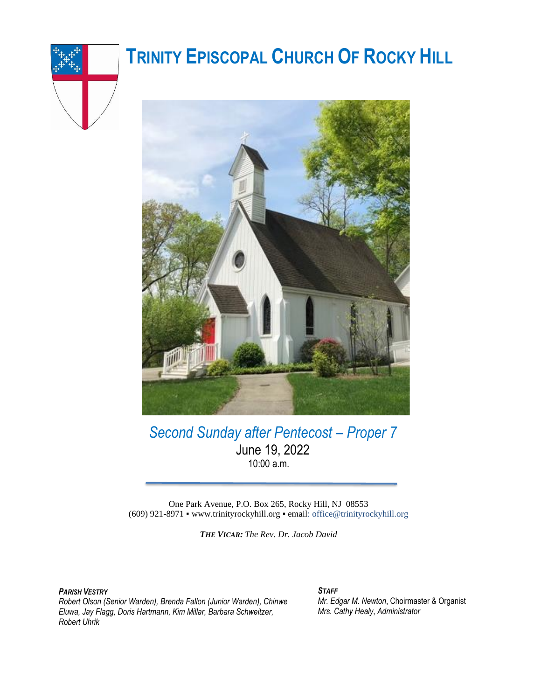

# **TRINITY EPISCOPAL CHURCH OF ROCKY HILL**



*Second Sunday after Pentecost – Proper 7* June 19, 2022 10:00 a.m.

One Park Avenue, P.O. Box 265, Rocky Hill, NJ 08553 (609) 921-8971 ▪ www.trinityrockyhill.org ▪ email: office@trinityrockyhill.org

*THE VICAR: The Rev. Dr. Jacob David*

*PARISH VESTRY*

*Robert Olson (Senior Warden), Brenda Fallon (Junior Warden), Chinwe Eluwa, Jay Flagg, Doris Hartmann, Kim Millar, Barbara Schweitzer, Robert Uhrik* 

#### *STAFF*

*Mr. Edgar M. Newton*, Choirmaster & Organist *Mrs. Cathy Healy*, *Administrator*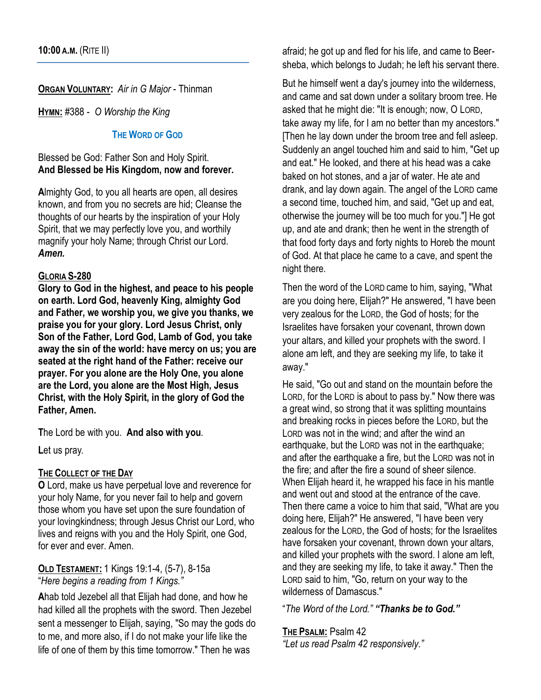**ORGAN VOLUNTARY:** *Air in G Major* - Thinman

**HYMN:** #388 - *O Worship the King*

### **THE WORD OF GOD**

Blessed be God: Father Son and Holy Spirit. **And Blessed be His Kingdom, now and forever.** 

**A**lmighty God, to you all hearts are open, all desires known, and from you no secrets are hid; Cleanse the thoughts of our hearts by the inspiration of your Holy Spirit, that we may perfectly love you, and worthily magnify your holy Name; through Christ our Lord. *Amen.*

### **GLORIA S-280**

**Glory to God in the highest, and peace to his people on earth. Lord God, heavenly King, almighty God and Father, we worship you, we give you thanks, we praise you for your glory. Lord Jesus Christ, only Son of the Father, Lord God, Lamb of God, you take away the sin of the world: have mercy on us; you are seated at the right hand of the Father: receive our prayer. For you alone are the Holy One, you alone are the Lord, you alone are the Most High, Jesus Christ, with the Holy Spirit, in the glory of God the Father, Amen.**

**T**he Lord be with you. **And also with you***.*

**L**et us pray.

#### **THE COLLECT OF THE DAY**

**O** Lord, make us have perpetual love and reverence for your holy Name, for you never fail to help and govern those whom you have set upon the sure foundation of your lovingkindness; through Jesus Christ our Lord, who lives and reigns with you and the Holy Spirit, one God, for ever and ever. Amen.

### **OLD TESTAMENT:** 1 Kings 19:1-4, (5-7), 8-15a "*Here begins a reading from 1 Kings."*

**A**hab told Jezebel all that Elijah had done, and how he had killed all the prophets with the sword. Then Jezebel sent a messenger to Elijah, saying, "So may the gods do to me, and more also, if I do not make your life like the life of one of them by this time tomorrow." Then he was

afraid; he got up and fled for his life, and came to Beersheba, which belongs to Judah; he left his servant there.

But he himself went a day's journey into the wilderness, and came and sat down under a solitary broom tree. He asked that he might die: "It is enough; now, O LORD, take away my life, for I am no better than my ancestors." [Then he lay down under the broom tree and fell asleep. Suddenly an angel touched him and said to him, "Get up and eat." He looked, and there at his head was a cake baked on hot stones, and a jar of water. He ate and drank, and lay down again. The angel of the LORD came a second time, touched him, and said, "Get up and eat, otherwise the journey will be too much for you."] He got up, and ate and drank; then he went in the strength of that food forty days and forty nights to Horeb the mount of God. At that place he came to a cave, and spent the night there.

Then the word of the LORD came to him, saying, "What are you doing here, Elijah?" He answered, "I have been very zealous for the LORD, the God of hosts; for the Israelites have forsaken your covenant, thrown down your altars, and killed your prophets with the sword. I alone am left, and they are seeking my life, to take it away."

He said, "Go out and stand on the mountain before the LORD, for the LORD is about to pass by." Now there was a great wind, so strong that it was splitting mountains and breaking rocks in pieces before the LORD, but the LORD was not in the wind; and after the wind an earthquake, but the LORD was not in the earthquake; and after the earthquake a fire, but the LORD was not in the fire; and after the fire a sound of sheer silence. When Elijah heard it, he wrapped his face in his mantle and went out and stood at the entrance of the cave. Then there came a voice to him that said, "What are you doing here, Elijah?" He answered, "I have been very zealous for the LORD, the God of hosts; for the Israelites have forsaken your covenant, thrown down your altars, and killed your prophets with the sword. I alone am left, and they are seeking my life, to take it away." Then the LORD said to him, "Go, return on your way to the wilderness of Damascus."

"*The Word of the Lord." "Thanks be to God."*

#### **THE PSALM:** Psalm 42

*"Let us read Psalm 42 responsively."*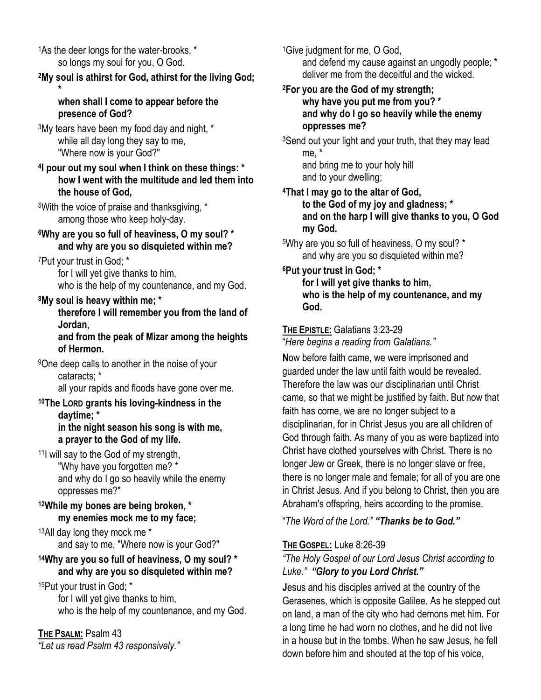<sup>1</sup>As the deer longs for the water-brooks, \* so longs my soul for you, O God.

# **<sup>2</sup>My soul is athirst for God, athirst for the living God;**

#### **\* when shall I come to appear before the presence of God?**

<sup>3</sup>My tears have been my food day and night, \* while all day long they say to me, "Where now is your God?"

### **4 I pour out my soul when I think on these things: \* how I went with the multitude and led them into the house of God,**

<sup>5</sup>With the voice of praise and thanksgiving, \* among those who keep holy-day.

# **<sup>6</sup>Why are you so full of heaviness, O my soul? \* and why are you so disquieted within me?**

<sup>7</sup>Put your trust in God; \*

for I will yet give thanks to him, who is the help of my countenance, and my God.

# **<sup>8</sup>My soul is heavy within me; \***

**therefore I will remember you from the land of Jordan,**

### **and from the peak of Mizar among the heights of Hermon.**

<sup>9</sup>One deep calls to another in the noise of your cataracts; \*

all your rapids and floods have gone over me.

### **<sup>10</sup>The LORD grants his loving-kindness in the daytime; \* in the night season his song is with me, a prayer to the God of my life.**

<sup>11</sup>I will say to the God of my strength, "Why have you forgotten me? \* and why do I go so heavily while the enemy oppresses me?"

# **<sup>12</sup>While my bones are being broken, \* my enemies mock me to my face;**

<sup>13</sup>All day long they mock me \* and say to me, "Where now is your God?"

### **<sup>14</sup>Why are you so full of heaviness, O my soul? \* and why are you so disquieted within me?**

15Put your trust in God; \* for I will yet give thanks to him, who is the help of my countenance, and my God.

# **THE PSALM:** Psalm 43

*"Let us read Psalm 43 responsively."* 

<sup>1</sup>Give judgment for me, O God, and defend my cause against an ungodly people; \* deliver me from the deceitful and the wicked.

### **<sup>2</sup>For you are the God of my strength; why have you put me from you? \* and why do I go so heavily while the enemy oppresses me?**

<sup>3</sup>Send out your light and your truth, that they may lead me, \* and bring me to your holy hill

and to your dwelling;

### **<sup>4</sup>That I may go to the altar of God, to the God of my joy and gladness; \* and on the harp I will give thanks to you, O God my God.**

<sup>5</sup>Why are you so full of heaviness, O my soul? \* and why are you so disquieted within me?

### **<sup>6</sup>Put your trust in God; \* for I will yet give thanks to him, who is the help of my countenance, and my God.**

# **THE EPISTLE:** Galatians 3:23-29

"*Here begins a reading from Galatians."*

**N**ow before faith came, we were imprisoned and guarded under the law until faith would be revealed. Therefore the law was our disciplinarian until Christ came, so that we might be justified by faith. But now that faith has come, we are no longer subject to a disciplinarian, for in Christ Jesus you are all children of God through faith. As many of you as were baptized into Christ have clothed yourselves with Christ. There is no longer Jew or Greek, there is no longer slave or free, there is no longer male and female; for all of you are one in Christ Jesus. And if you belong to Christ, then you are Abraham's offspring, heirs according to the promise.

"*The Word of the Lord." "Thanks be to God."*

# **THE GOSPEL:** Luke 8:26-39

# *"The Holy Gospel of our Lord Jesus Christ according to Luke." "Glory to you Lord Christ."*

**J**esus and his disciples arrived at the country of the Gerasenes, which is opposite Galilee. As he stepped out on land, a man of the city who had demons met him. For a long time he had worn no clothes, and he did not live in a house but in the tombs. When he saw Jesus, he fell down before him and shouted at the top of his voice,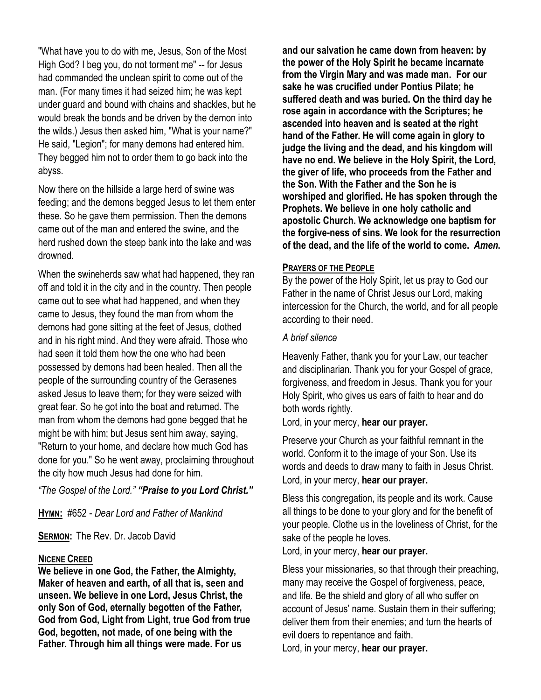"What have you to do with me, Jesus, Son of the Most High God? I beg you, do not torment me" -- for Jesus had commanded the unclean spirit to come out of the man. (For many times it had seized him; he was kept under guard and bound with chains and shackles, but he would break the bonds and be driven by the demon into the wilds.) Jesus then asked him, "What is your name?" He said, "Legion"; for many demons had entered him. They begged him not to order them to go back into the abyss.

Now there on the hillside a large herd of swine was feeding; and the demons begged Jesus to let them enter these. So he gave them permission. Then the demons came out of the man and entered the swine, and the herd rushed down the steep bank into the lake and was drowned.

When the swineherds saw what had happened, they ran off and told it in the city and in the country. Then people came out to see what had happened, and when they came to Jesus, they found the man from whom the demons had gone sitting at the feet of Jesus, clothed and in his right mind. And they were afraid. Those who had seen it told them how the one who had been possessed by demons had been healed. Then all the people of the surrounding country of the Gerasenes asked Jesus to leave them; for they were seized with great fear. So he got into the boat and returned. The man from whom the demons had gone begged that he might be with him; but Jesus sent him away, saying, "Return to your home, and declare how much God has done for you." So he went away, proclaiming throughout the city how much Jesus had done for him.

*"The Gospel of the Lord." "Praise to you Lord Christ."*

**HYMN:** #652 - *Dear Lord and Father of Mankind*

**SERMON:** The Rev. Dr. Jacob David

#### **NICENE CREED**

**We believe in one God, the Father, the Almighty, Maker of heaven and earth, of all that is, seen and unseen. We believe in one Lord, Jesus Christ, the only Son of God, eternally begotten of the Father, God from God, Light from Light, true God from true God, begotten, not made, of one being with the Father. Through him all things were made. For us** 

**and our salvation he came down from heaven: by the power of the Holy Spirit he became incarnate from the Virgin Mary and was made man. For our sake he was crucified under Pontius Pilate; he suffered death and was buried. On the third day he rose again in accordance with the Scriptures; he ascended into heaven and is seated at the right hand of the Father. He will come again in glory to judge the living and the dead, and his kingdom will have no end. We believe in the Holy Spirit, the Lord, the giver of life, who proceeds from the Father and the Son. With the Father and the Son he is worshiped and glorified. He has spoken through the Prophets. We believe in one holy catholic and apostolic Church. We acknowledge one baptism for the forgive-ness of sins. We look for the resurrection of the dead, and the life of the world to come.** *Amen***.**

#### **PRAYERS OF THE PEOPLE**

By the power of the Holy Spirit, let us pray to God our Father in the name of Christ Jesus our Lord, making intercession for the Church, the world, and for all people according to their need.

#### *A brief silence*

Heavenly Father, thank you for your Law, our teacher and disciplinarian. Thank you for your Gospel of grace, forgiveness, and freedom in Jesus. Thank you for your Holy Spirit, who gives us ears of faith to hear and do both words rightly.

Lord, in your mercy, **hear our prayer.**

Preserve your Church as your faithful remnant in the world. Conform it to the image of your Son. Use its words and deeds to draw many to faith in Jesus Christ. Lord, in your mercy, **hear our prayer.**

Bless this congregation, its people and its work. Cause all things to be done to your glory and for the benefit of your people. Clothe us in the loveliness of Christ, for the sake of the people he loves.

Lord, in your mercy, **hear our prayer.**

Bless your missionaries, so that through their preaching, many may receive the Gospel of forgiveness, peace, and life. Be the shield and glory of all who suffer on account of Jesus' name. Sustain them in their suffering; deliver them from their enemies; and turn the hearts of evil doers to repentance and faith.

Lord, in your mercy, **hear our prayer.**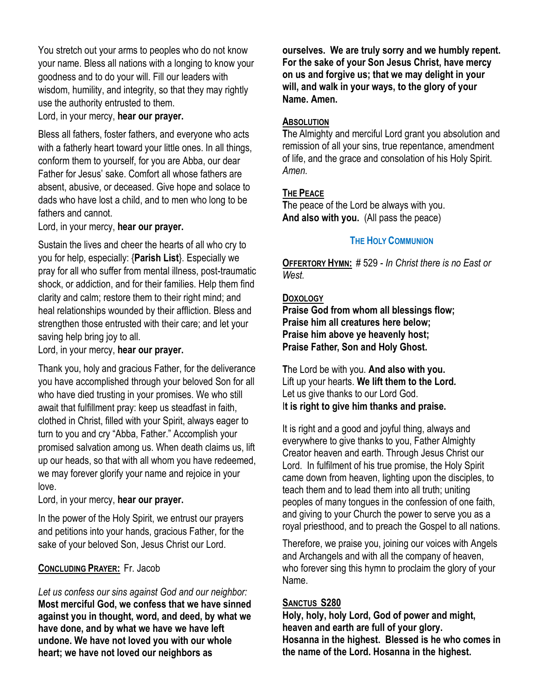You stretch out your arms to peoples who do not know your name. Bless all nations with a longing to know your goodness and to do your will. Fill our leaders with wisdom, humility, and integrity, so that they may rightly use the authority entrusted to them.

Lord, in your mercy, **hear our prayer.**

Bless all fathers, foster fathers, and everyone who acts with a fatherly heart toward your little ones. In all things, conform them to yourself, for you are Abba, our dear Father for Jesus' sake. Comfort all whose fathers are absent, abusive, or deceased. Give hope and solace to dads who have lost a child, and to men who long to be fathers and cannot.

Lord, in your mercy, **hear our prayer.**

Sustain the lives and cheer the hearts of all who cry to you for help, especially: {**Parish List**}. Especially we pray for all who suffer from mental illness, post-traumatic shock, or addiction, and for their families. Help them find clarity and calm; restore them to their right mind; and heal relationships wounded by their affliction. Bless and strengthen those entrusted with their care; and let your saving help bring joy to all.

Lord, in your mercy, **hear our prayer.**

Thank you, holy and gracious Father, for the deliverance you have accomplished through your beloved Son for all who have died trusting in your promises. We who still await that fulfillment pray: keep us steadfast in faith, clothed in Christ, filled with your Spirit, always eager to turn to you and cry "Abba, Father." Accomplish your promised salvation among us. When death claims us, lift up our heads, so that with all whom you have redeemed, we may forever glorify your name and rejoice in your love.

Lord, in your mercy, **hear our prayer.**

In the power of the Holy Spirit, we entrust our prayers and petitions into your hands, gracious Father, for the sake of your beloved Son, Jesus Christ our Lord.

# **CONCLUDING PRAYER:** Fr. Jacob

*Let us confess our sins against God and our neighbor:* **Most merciful God, we confess that we have sinned against you in thought, word, and deed, by what we have done, and by what we have we have left undone. We have not loved you with our whole heart; we have not loved our neighbors as** 

**ourselves. We are truly sorry and we humbly repent. For the sake of your Son Jesus Christ, have mercy on us and forgive us; that we may delight in your will, and walk in your ways, to the glory of your Name. Amen.** 

### **ABSOLUTION**

**T**he Almighty and merciful Lord grant you absolution and remission of all your sins, true repentance, amendment of life, and the grace and consolation of his Holy Spirit. *Amen.*

# **THE PEACE**

**T**he peace of the Lord be always with you. **And also with you.** (All pass the peace)

# **THE HOLY COMMUNION**

**OFFERTORY HYMN:** # 529 - *In Christ there is no East or West.*

# **DOXOLOGY**

**Praise God from whom all blessings flow; Praise him all creatures here below; Praise him above ye heavenly host; Praise Father, Son and Holy Ghost.**

**T**he Lord be with you. **And also with you.** Lift up your hearts. **We lift them to the Lord***.* Let us give thanks to our Lord God. I**t is right to give him thanks and praise.** 

It is right and a good and joyful thing, always and everywhere to give thanks to you, Father Almighty Creator heaven and earth. Through Jesus Christ our Lord. In fulfilment of his true promise, the Holy Spirit came down from heaven, lighting upon the disciples, to teach them and to lead them into all truth; uniting peoples of many tongues in the confession of one faith, and giving to your Church the power to serve you as a royal priesthood, and to preach the Gospel to all nations.

Therefore, we praise you, joining our voices with Angels and Archangels and with all the company of heaven, who forever sing this hymn to proclaim the glory of your Name.

### **SANCTUS S280**

**Holy, holy, holy Lord, God of power and might, heaven and earth are full of your glory. Hosanna in the highest. Blessed is he who comes in the name of the Lord. Hosanna in the highest.**